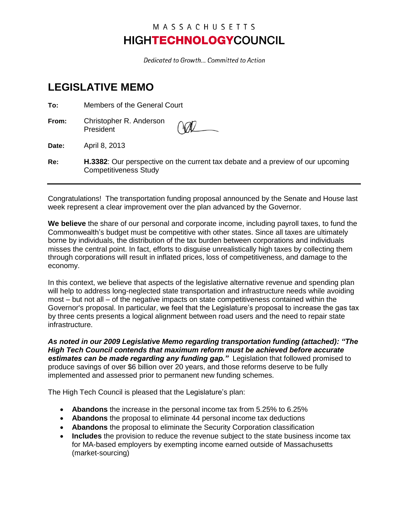## MASSACHUSETTS **HIGHTECHNOLOGYCOUNCIL**

Dedicated to Growth... Committed to Action

## **LEGISLATIVE MEMO**

| To:   | Members of the General Court                                                                                    |  |
|-------|-----------------------------------------------------------------------------------------------------------------|--|
| From: | Christopher R. Anderson<br>President                                                                            |  |
| Date: | April 8, 2013                                                                                                   |  |
| Re:   | H.3382: Our perspective on the current tax debate and a preview of our upcoming<br><b>Competitiveness Study</b> |  |

Congratulations! The transportation funding proposal announced by the Senate and House last week represent a clear improvement over the plan advanced by the Governor.

**We believe** the share of our personal and corporate income, including payroll taxes, to fund the Commonwealth's budget must be competitive with other states. Since all taxes are ultimately borne by individuals, the distribution of the tax burden between corporations and individuals misses the central point. In fact, efforts to disguise unrealistically high taxes by collecting them through corporations will result in inflated prices, loss of competitiveness, and damage to the economy.

In this context, we believe that aspects of the legislative alternative revenue and spending plan will help to address long-neglected state transportation and infrastructure needs while avoiding most – but not all – of the negative impacts on state competitiveness contained within the Governor's proposal. In particular, we feel that the Legislature's proposal to increase the gas tax by three cents presents a logical alignment between road users and the need to repair state infrastructure.

*As noted in our 2009 Legislative Memo regarding transportation funding (attached): "The High Tech Council contends that maximum reform must be achieved before accurate estimates can be made regarding any funding gap."* Legislation that followed promised to produce savings of over \$6 billion over 20 years, and those reforms deserve to be fully implemented and assessed prior to permanent new funding schemes.

The High Tech Council is pleased that the Legislature's plan:

- **Abandons** the increase in the personal income tax from 5.25% to 6.25%
- **Abandons** the proposal to eliminate 44 personal income tax deductions
- **Abandons** the proposal to eliminate the Security Corporation classification
- **Includes** the provision to reduce the revenue subject to the state business income tax for MA-based employers by exempting income earned outside of Massachusetts (market-sourcing)